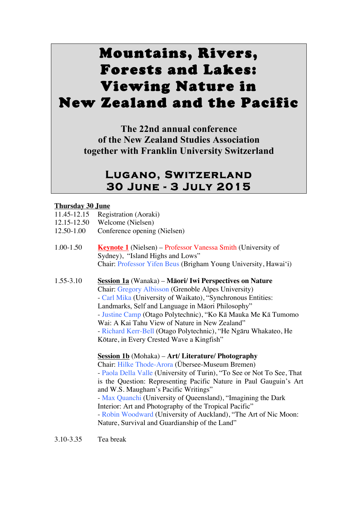# Mountains, Rivers, Forests and Lakes: Viewing Nature in New Zealand and the Pacific

**The 22nd annual conference of the New Zealand Studies Association together with Franklin University Switzerland**

## **Lugano, Switzerland 30 June - 3 July 2015**

#### **Thursday 30 June**

- 11.45-12.15 Registration (Aoraki)
- 12.15-12.50 Welcome (Nielsen)
- 12.50-1.00 Conference opening (Nielsen)
- 1.00-1.50 **Keynote 1** (Nielsen) Professor Vanessa Smith (University of Sydney), "Island Highs and Lows" Chair: Professor Yifen Beus (Brigham Young University, Hawai'i)
- 1.55-3.10 **Session 1a** (Wanaka) **Māori/ Iwi Perspectives on Nature** Chair: Gregory Albisson (Grenoble Alpes University) - Carl Mika (University of Waikato), "Synchronous Entities: Landmarks, Self and Language in Māori Philosophy" - Justine Camp (Otago Polytechnic), "Ko Kā Mauka Me Kā Tumomo Wai: A Kai Tahu View of Nature in New Zealand" - Richard Kerr-Bell (Otago Polytechnic), "He Ngāru Whakateo, He Kōtare, in Every Crested Wave a Kingfish"

**Session 1b** (Mohaka) – **Art/ Literature/ Photography** Chair: Hilke Thode-Arora (Übersee-Museum Bremen) - Paola Della Valle (University of Turin), "To See or Not To See, That is the Question: Representing Pacific Nature in Paul Gauguin's Art and W.S. Maugham's Pacific Writings" - Max Quanchi (University of Queensland), "Imagining the Dark Interior: Art and Photography of the Tropical Pacific" - Robin Woodward (University of Auckland), "The Art of Nic Moon: Nature, Survival and Guardianship of the Land"

3.10-3.35 Tea break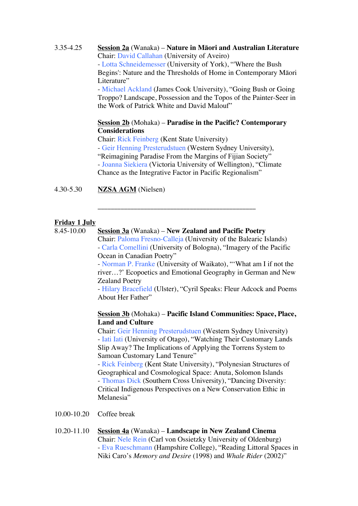#### 3.35-4.25 **Session 2a** (Wanaka) – **Nature in Māori and Australian Literature** Chair: David Callahan (University of Aveiro) - Lotta Schneidemesser (University of York), "'Where the Bush Begins': Nature and the Thresholds of Home in Contemporary Māori Literature" - Michael Ackland (James Cook University), "Going Bush or Going Troppo? Landscape, Possession and the Topos of the Painter-Seer in the Work of Patrick White and David Malouf"

#### **Session 2b** (Mohaka) – **Paradise in the Pacific? Contemporary Considerations**

Chair: Rick Feinberg (Kent State University)

- Geir Henning Presterudstuen (Western Sydney University), "Reimagining Paradise From the Margins of Fijian Society"

- Joanna Siekiera (Victoria University of Wellington), "Climate

Chance as the Integrative Factor in Pacific Regionalism"

\_\_\_\_\_\_\_\_\_\_\_\_\_\_\_\_\_\_\_\_\_\_\_\_\_\_\_\_\_\_\_\_\_\_\_\_\_\_\_\_\_\_\_\_\_\_\_\_

4.30-5.30 **NZSA AGM** (Nielsen)

#### **Friday 1 July**

#### 8.45-10.00 **Session 3a** (Wanaka) – **New Zealand and Pacific Poetry**

Chair: Paloma Fresno-Calleja (University of the Balearic Islands) - Carla Comellini (University of Bologna), "Imagery of the Pacific Ocean in Canadian Poetry"

- Norman P. Franke (University of Waikato), "'What am I if not the river…?' Ecopoetics and Emotional Geography in German and New Zealand Poetry

- Hilary Bracefield (Ulster), "Cyril Speaks: Fleur Adcock and Poems About Her Father"

#### **Session 3b** (Mohaka) – **Pacific Island Communities: Space, Place, Land and Culture**

Chair: Geir Henning Presterudstuen (Western Sydney University) - Iati Iati (University of Otago), "Watching Their Customary Lands Slip Away? The Implications of Applying the Torrens System to Samoan Customary Land Tenure"

- Rick Feinberg (Kent State University), "Polynesian Structures of Geographical and Cosmological Space: Anuta, Solomon Islands - Thomas Dick (Southern Cross University), "Dancing Diversity: Critical Indigenous Perspectives on a New Conservation Ethic in Melanesia"

- 10.00-10.20 Coffee break
- 10.20-11.10 **Session 4a** (Wanaka) **Landscape in New Zealand Cinema** Chair: Nele Rein (Carl von Ossietzky University of Oldenburg) - Eva Rueschmann (Hampshire College), "Reading Littoral Spaces in Niki Caro's *Memory and Desire* (1998) and *Whale Rider* (2002)"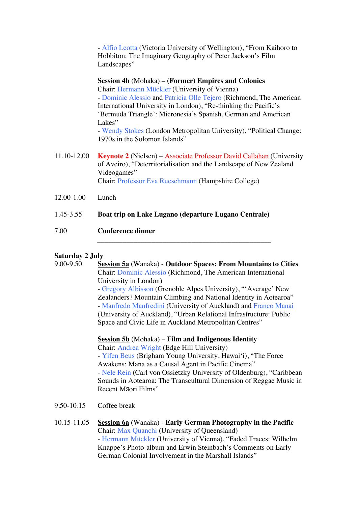- Alfio Leotta (Victoria University of Wellington), "From Kaihoro to Hobbiton: The Imaginary Geography of Peter Jackson's Film Landscapes"

#### **Session 4b** (Mohaka) – **(Former) Empires and Colonies**

Chair: Hermann Mückler (University of Vienna) - Dominic Alessio and Patricia Olle Tejero (Richmond, The American International University in London), "Re-thinking the Pacific's 'Bermuda Triangle': Micronesia's Spanish, German and American Lakes"

- Wendy Stokes (London Metropolitan University), "Political Change: 1970s in the Solomon Islands"

- 11.10-12.00 **Keynote 2** (Nielsen) Associate Professor David Callahan (University of Aveiro), "Deterritorialisation and the Landscape of New Zealand Videogames" Chair: Professor Eva Rueschmann (Hampshire College)
- 12.00-1.00 Lunch
- 1.45-3.55 **Boat trip on Lake Lugano (departure Lugano Centrale)**
- 7.00 **Conference dinner**

#### **Saturday 2 July**

9.00-9.50 **Session 5a** (Wanaka) - **Outdoor Spaces: From Mountains to Cities** Chair: Dominic Alessio (Richmond, The American International University in London) - Gregory Albisson (Grenoble Alpes University), "'Average' New Zealanders? Mountain Climbing and National Identity in Aotearoa" - Manfredo Manfredini (University of Auckland) and Franco Manai (University of Auckland), "Urban Relational Infrastructure: Public Space and Civic Life in Auckland Metropolitan Centres"

\_\_\_\_\_\_\_\_\_\_\_\_\_\_\_\_\_\_\_\_\_\_\_\_\_\_\_\_\_\_\_\_\_\_\_\_\_\_\_\_\_\_\_\_\_\_\_\_

**Session 5b** (Mohaka) – **Film and Indigenous Identity**

Chair: Andrea Wright (Edge Hill University) - Yifen Beus (Brigham Young University, Hawai'i), "The Force Awakens: Mana as a Causal Agent in Pacific Cinema" - Nele Rein (Carl von Ossietzky University of Oldenburg), "Caribbean Sounds in Aotearoa: The Transcultural Dimension of Reggae Music in Recent Māori Films"

9.50-10.15 Coffee break

| $10.15 - 11.05$ | Session 6a (Wanaka) - Early German Photography in the Pacific    |
|-----------------|------------------------------------------------------------------|
|                 | Chair: Max Quanchi (University of Queensland)                    |
|                 | - Hermann Mückler (University of Vienna), "Faded Traces: Wilhelm |
|                 | Knappe's Photo-album and Erwin Steinbach's Comments on Early     |
|                 | German Colonial Involvement in the Marshall Islands"             |